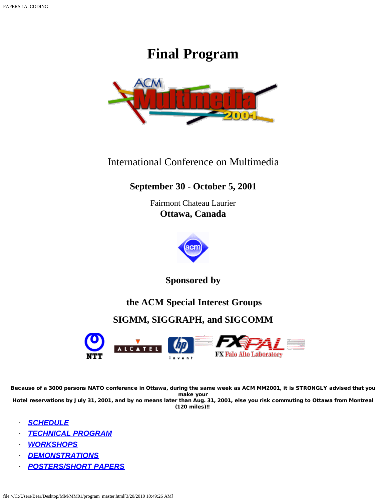# **Final Program**



## International Conference on Multimedia

## **September 30 - October 5, 2001**

Fairmont Chateau Laurier **Ottawa, Canada**



**Sponsored by**

## **the ACM Special Interest Groups**

## **SIGMM, SIGGRAPH, and SIGCOMM**



Because of a 3000 persons NATO conference in Ottawa, during the same week as ACM MM2001, it is STRONGLY advised that you make your Hotel reservations by July 31, 2001, and by no means later than Aug. 31, 2001, else you risk commuting to Ottawa from Montreal

(120 miles)!!

- · *[SCHEDULE](#page-1-0)*
- · *[TECHNICAL PROGRAM](#page-2-0)*
- · *[WORKSHOPS](#page-11-0)*
- · *[DEMONSTRATIONS](#page-9-0)*
- · *[POSTERS/SHORT PAPERS](#page-7-0)*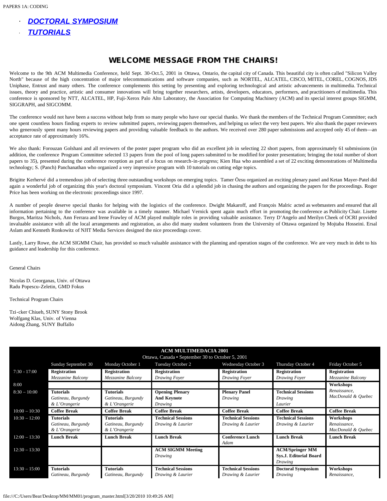- · *[DOCTORAL SYMPOSIUM](#page-7-1)*
- · *[TUTORIALS](#page-2-1)*

## WELCOME MESSAGE FROM THE CHAIRS!

Welcome to the 9th ACM Multimedia Conference, held Sept. 30-Oct.5, 2001 in Ottawa, Ontario, the capital city of Canada. This beautiful city is often called "Silicon Valley North" because of the high concentration of major telecommunications and software companies, such as NORTEL, ALCATEL, CISCO, MITEL, COREL, COGNOS, JDS Uniphase, Entrust and many others. The conference complements this setting by presenting and exploring technological and artistic advancements in multimedia. Technical issues, theory and practice, artistic and consumer innovations will bring together researchers, artists, developers, educators, performers, and practitioners of multimedia. This conference is sponsored by NTT, ALCATEL, HP, Fuji-Xerox Palo Alto Laboratory, the Association for Computing Machinery (ACM) and its special interest groups SIGMM, SIGGRAPH, and SIGCOMM.

The conference would not have been a success without help from so many people who have our special thanks. We thank the members of the Technical Program Committee; each one spent countless hours finding experts to review submitted papers, reviewing papers themselves, and helping us select the very best papers. We also thank the paper reviewers who generously spent many hours reviewing papers and providing valuable feedback to the authors. We received over 280 paper submissions and accepted only 45 of them—an acceptance rate of approximately 16%.

We also thank: Forouzan Golshani and all reviewers of the poster paper program who did an excellent job in selecting 22 short papers, from approximately 61 submissions (in addition, the conference Program Committee selected 13 papers from the pool of long papers submitted to be modified for poster presentation; bringing the total number of short papers to 35), presented during the conference reception as part of a focus on research-in-progress; Kien Hua who assembled a set of 22 exciting demonstrations of Multimedia technology; S. (Panch) Panchanathan who organized a very impressive program with 10 tutorials on cutting edge topics.

Brigitte Kerhervé did a tremendous job of selecting three outstanding workshops on emerging topics. Tamer Özsu organized an exciting plenary panel and Ketan Mayer-Patel did again a wonderful job of organizing this year's doctoral symposium. Vincent Oria did a splendid job in chasing the authors and organizing the papers for the proceedings. Roger Price has been working on the electronic proceedings since 1997.

A number of people deserve special thanks for helping with the logistics of the conference. Dwight Makaroff, and François Malric acted as webmasters and ensured that all information pertaining to the conference was available in a timely manner. Michael Vernick spent again much effort in promoting the conference as Publicity Chair. Lisette Burgos, Maritza Nichols, Ann Ferrara and Irene Frawley of ACM played multiple roles in providing valuable assistance. Terry D'Angelo and Merilyn Cheek of OCRI provided invaluable assistance with all the local arrangements and registration, as also did many student volunteers from the University of Ottawa organized by Mojtaba Hosseini. Ersal Aslam and Kenneth Ronkowitz of NJIT Media Services designed the nice proceedings cover.

Lastly, Larry Rowe, the ACM SIGMM Chair, has provided so much valuable assistance with the planning and operation stages of the conference. We are very much in debt to his guidance and leadership for this conference.

General Chairs

Nicolas D. Georganas, Univ. of Ottawa Radu Popescu-Zeletin, GMD Fokus

Technical Program Chairs

Tzi-cker Chiueh, SUNY Stony Brook Wolfgang Klas, Univ. of Vienna Aidong Zhang, SUNY Buffallo

<span id="page-1-0"></span>

| <b>ACM MULTIMEDACIA 2001</b> |                                                  |                     |                           |                           |                               |                     |
|------------------------------|--------------------------------------------------|---------------------|---------------------------|---------------------------|-------------------------------|---------------------|
|                              | Ottawa, Canada • September 30 to October 5, 2001 |                     |                           |                           |                               |                     |
|                              | Sunday September 30                              | Monday October 1    | Tuesday October 2         | Wednesday October 3       | Thursday October 4            | Friday October 5    |
| $7:30 - 17:00$               | <b>Registration</b>                              | <b>Registration</b> | <b>Registration</b>       | <b>Registration</b>       | <b>Registration</b>           | <b>Registration</b> |
|                              | Mezzanine Balcony                                | Mezzanine Balcony   | Drawing Foyer             | Drawing Foyer             | Drawing Foyer                 | Mezzanine Balcony   |
| 8:00                         |                                                  |                     |                           |                           |                               | Workshops           |
| $8:30 - 10:00$               | <b>Tutorials</b>                                 | <b>Tutorials</b>    | <b>Opening Plenary</b>    | <b>Plenary Panel</b>      | <b>Technical Sessions</b>     | Renaissance,        |
|                              | Gatineau, Burgundy                               | Gatineau, Burgundy  | <b>And Keynote</b>        | Drawing                   | Drawing                       | MacDonald & Quebec  |
|                              | & L'Orangerie                                    | & L'Orangerie       | Drawing                   |                           | Laurier                       |                     |
| $10:00 - 10:30$              | <b>Coffee Break</b>                              | <b>Coffee Break</b> | <b>Coffee Break</b>       | <b>Coffee Break</b>       | <b>Coffee Break</b>           | <b>Coffee Break</b> |
| $10:30 - 12:00$              | <b>Tutorials</b>                                 | <b>Tutorials</b>    | <b>Technical Sessions</b> | <b>Technical Sessions</b> | <b>Technical Sessions</b>     | Workshops           |
|                              | Gatineau, Burgundy                               | Gatineau, Burgundy  | Drawing & Laurier         | Drawing & Laurier         | Drawing & Laurier             | Renaissance,        |
|                              | & L'Orangerie                                    | & L'Orangerie       |                           |                           |                               | MacDonald & Quebec  |
| $12:00 - 13:30$              | <b>Lunch Break</b>                               | <b>Lunch Break</b>  | <b>Lunch Break</b>        | <b>Conference Lunch</b>   | <b>Lunch Break</b>            | <b>Lunch Break</b>  |
|                              |                                                  |                     |                           | Adam                      |                               |                     |
| $12:30 - 13:30$              |                                                  |                     | <b>ACM SIGMM Meeting</b>  |                           | <b>ACM/Springer MM</b>        |                     |
|                              |                                                  |                     | Drawing                   |                           | <b>Sys.J. Editorial Board</b> |                     |
|                              |                                                  |                     |                           |                           | Drawing                       |                     |
| $13:30 - 15:00$              | <b>Tutorials</b>                                 | <b>Tutorials</b>    | <b>Technical Sessions</b> | <b>Technical Sessions</b> | <b>Doctoral Symposium</b>     | Workshops           |
|                              | Gatineau, Burgundy                               | Gatineau, Burgundy  | Drawing & Laurier         | Drawing & Laurier         | Drawing                       | Renaissance,        |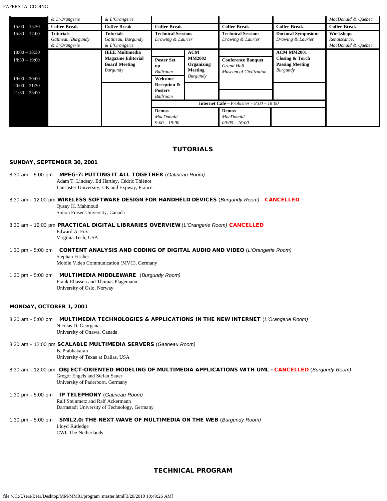PAPERS 1A: CODING

|                 | & L'Orangerie       | & L'Orangerie             |                                                   |                |                           |                            | MacDonald & Quebec  |
|-----------------|---------------------|---------------------------|---------------------------------------------------|----------------|---------------------------|----------------------------|---------------------|
| $15:00 - 15:30$ | <b>Coffee Break</b> | <b>Coffee Break</b>       | <b>Coffee Break</b>                               |                | <b>Coffee Break</b>       | <b>Coffee Break</b>        | <b>Coffee Break</b> |
| $15:30 - 17:00$ | <b>Tutorials</b>    | Tutorials                 | <b>Technical Sessions</b>                         |                | <b>Technical Sessions</b> | <b>Doctoral Symposium</b>  | Workshops           |
|                 | Gatineau, Burgundy  | Gatineau, Burgundy        | Drawing & Laurier                                 |                | Drawing & Laurier         | Drawing & Laurier          | Renaissance,        |
|                 | & L'Orangerie       | & L'Orangerie             |                                                   |                |                           |                            | MacDonald & Quebec  |
| $18:00 - 18:30$ |                     | <b>IEEE Multimedia</b>    |                                                   | <b>ACM</b>     |                           | ACM MM2001                 |                     |
| $18:30 - 19:00$ |                     | <b>Magazine Editorial</b> | <b>Poster Set</b>                                 | <b>MM2002</b>  | <b>Conference Banquet</b> | <b>Closing &amp; Torch</b> |                     |
|                 |                     | <b>Board Meeting</b>      | up                                                | Organizing     | Grand Hall                | <b>Passing Meeting</b>     |                     |
|                 |                     | Burgundy                  | <b>Ballroom</b>                                   | <b>Meeting</b> | Museum of Civilization    | Burgundy                   |                     |
| $19:00 - 20:00$ |                     |                           | Welcome                                           | Burgundy       |                           |                            |                     |
| $20:00 - 21:30$ |                     |                           | Reception &                                       |                |                           |                            |                     |
| $21:30 - 23:00$ |                     |                           | <b>Posters</b>                                    |                |                           |                            |                     |
|                 |                     |                           | <b>Ballroom</b>                                   |                |                           |                            |                     |
|                 |                     |                           | <b>Internet Café</b> – Frobisher – $8:00 - 18:00$ |                |                           |                            |                     |
|                 |                     |                           | <b>Demos</b>                                      |                | <b>Demos</b>              |                            |                     |
|                 |                     |                           | <b>MacDonald</b>                                  |                | <b>MacDonald</b>          |                            |                     |
|                 |                     |                           | $9:00 - 19:00$                                    |                | $09:00 - 16:00$           |                            |                     |

### TUTORIALS

#### <span id="page-2-1"></span>SUNDAY, SEPTEMBER 30, 2001

- 8:30 am 5:00 pm MPEG-7: PUTTING IT ALL TOGETHER (*Gatineau Room)* Adam T. Lindsay, Ed Hartley, Cédric Thiénot Lancaster University, UK and Expway, France
- 8:30 am 12:00 pm WIRELESS SOFTWARE DESIGN FOR HANDHELD DEVICES (*Burgundy Room)* CANCELLED Qusay H. Mahmoud Simon Fraser University, Canada
- 8:30 am 12:00 pm PRACTICAL DIGITAL LIBRARIES OVERVIEW (*L'Orangerie Room)* CANCELLED Edward A. Fox Virginia Tech, USA
- 1:30 pm 5:00 pm CONTENT ANALYSIS AND CODING OF DIGITAL AUDIO AND VIDEO (*L'Orangerie Room)* Stephan Fischer Mobile Video Communication (MVC), Germany
- 1:30 pm 5:00 pm MULTIMEDIA MIDDLEWARE (*Burgundy Room)* Frank Eliassen and Thomas Plagemann University of Oslo, Norway

#### MONDAY, OCTOBER 1, 2001

- 8:30 am 5:00 pm MULTIMEDIA TECHNOLOGIES & APPLICATIONS IN THE NEW INTERNET (*L'Orangerie Room)* Nicolas D. Georganas University of Ottawa, Canada
- 8:30 am 12:00 pm SCALABLE MULTIMEDIA SERVERS (*Gatineau Room)* B. Prabhakaran University of Texas at Dallas, USA
- 8:30 am 12:00 pm OBJECT-ORIENTED MODELING OF MULTIMEDIA APPLICATIONS WITH UML CANCELLED (*Burgundy Room)* Gregor Engels and Stefan Sauer University of Paderborn, Germany
- 1:30 pm 5:00 pm IP TELEPHONY (*Gatineau Room)* **Ralf Steinmetz and Ralf Ackermann** Darmstadt University of Technology, Germany
- <span id="page-2-0"></span>1:30 pm - 5:00 pm SMIL2.0: THE NEXT WAVE OF MULTIMEDIA ON THE WEB (*Burgundy Room)* Lloyd Rutledge CWI, The Netherlands

### TECHNICAL PROGRAM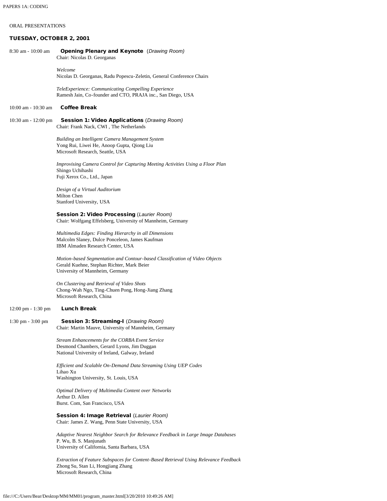#### ORAL PRESENTATIONS

#### TUESDAY, OCTOBER 2, 2001

8:30 am - 10:00 am Opening Plenary and Keynote (*Drawing Room)* Chair: Nicolas D. Georganas  *Welcome* Nicolas D. Georganas, Radu Popescu-Zeletin, General Conference Chairs *TeleExperience: Communicating Compelling Experience* Ramesh Jain, Co-founder and CTO, PRAJA inc., San Diego, USA 10:00 am - 10:30 am Coffee Break 10:30 am - 12:00 pm Session 1: Video Applications (*Drawing Room)* Chair: Frank Nack, CWI , The Netherlands *Building an Intelligent Camera Management System*  Yong Rui, Liwei He, Anoop Gupta, Qiong Liu Microsoft Research, Seattle, USA *Improvising Camera Control for Capturing Meeting Activities Using a Floor Plan*  Shingo Uchihashi Fuji Xerox Co., Ltd., Japan *Design of a Virtual Auditorium* Milton Chen Stanford University, USA Session 2: Video Processing (*Laurier Room)* Chair: Wolfgang Effelsberg, University of Mannheim, Germany *Multimedia Edges: Finding Hierarchy in all Dimensions* Malcolm Slaney, Dulce Ponceleon, James Kaufman IBM Almaden Research Center, USA *Motion-based Segmentation and Contour-based Classification of Video Objects*  Gerald Kuehne, Stephan Richter, Mark Beier University of Mannheim, Germany *On Clustering and Retrieval of Video Shots* Chong-Wah Ngo, Ting-Chuen Pong, Hong-Jiang Zhang Microsoft Research, China 12:00 pm - 1:30 pm Lunch Break 1:30 pm - 3:00 pm Session 3: Streaming-I (*Drawing Room)* Chair: Martin Mauve, University of Mannheim, Germany *Stream Enhancements for the CORBA Event Service*  Desmond Chambers, Gerard Lyons, Jim Duggan National University of Ireland, Galway, Ireland *Efficient and Scalable On-Demand Data Streaming Using UEP Codes* Lihao Xu Washington University, St. Louis, USA *Optimal Delivery of Multimedia Content over Networks*  Arthur D. Allen Burst. Com, San Francisco, USA Session 4: Image Retrieval (*Laurier Room)* Chair: James Z. Wang, Penn State University, USA *Adaptive Nearest Neighbor Search for Relevance Feedback in Large Image Databases* P. Wu, B. S. Manjunath University of California, Santa Barbara, USA *Extraction of Feature Subspaces for Content-Based Retrieval Using Relevance Feedback* Zhong Su, Stan Li, Hongjiang Zhang

Microsoft Research, China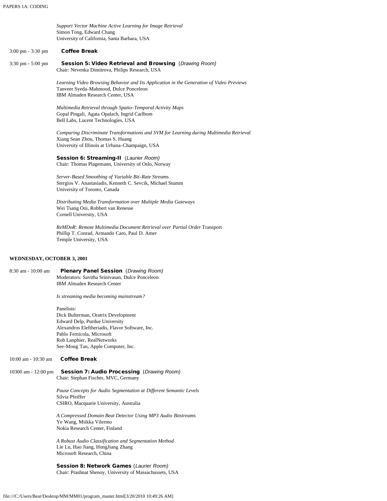|                                   | Support Vector Machine Active Learning for Image Retrieval                                                                                                                     |
|-----------------------------------|--------------------------------------------------------------------------------------------------------------------------------------------------------------------------------|
|                                   | Simon Tong, Edward Chang<br>University of California, Santa Barbara, USA                                                                                                       |
| 3:00 pm - 3:30 pm                 | <b>Coffee Break</b>                                                                                                                                                            |
| 3:30 pm - 5:00 pm                 | Session 5: Video Retrieval and Browsing (Drawing Room)<br>Chair: Nevenka Dimitrova, Philips Research, USA                                                                      |
|                                   | Learning Video Browsing Behavior and Its Application in the Generation of Video Previews<br>Tanveer Syeda-Mahmood, Dulce Ponceleon<br>IBM Almaden Research Center, USA         |
|                                   | Multimedia Retrieval through Spatio-Temporal Activity Maps<br>Gopal Pingali, Agata Opalach, Ingrid Carlbom<br>Bell Labs, Lucent Technologies, USA                              |
|                                   | Comparing Discriminate Transformations and SVM for Learning during Multimedia Retrieval<br>Xiang Sean Zhou, Thomas S. Huang<br>University of Illinois at Urbana-Champaign, USA |
|                                   | Session 6: Streaming-II (Laurier Room)<br>Chair: Thomas Plagemann, University of Oslo, Norway                                                                                  |
|                                   | Server-Based Smoothing of Variable Bit-Rate Streams<br>Stergios V. Anastasiadis, Kenneth C. Sevcik, Michael Stumm<br>University of Toronto, Canada                             |
|                                   | Distributing Media Transformation over Multiple Media Gateways<br>Wei Tsang Ooi, Robbert van Renesse<br>Cornell University, USA                                                |
|                                   | ReMDoR: Remote Multimedia Document Retrieval over Partial Order Transport<br>Phillip T. Conrad, Armando Caro, Paul D. Amer<br>Temple University, USA                           |
| <b>WEDNESDAY, OCTOBER 3, 2001</b> |                                                                                                                                                                                |
| 8:30 am - 10:00 am                | <b>Plenary Panel Session</b> (Drawing Room)                                                                                                                                    |
|                                   | Moderators: Savitha Srinivasan, Dulce Ponceleon<br><b>IBM Almaden Research Center</b>                                                                                          |
|                                   | Is streaming media becoming mainstream?                                                                                                                                        |
|                                   | Panelists:<br>Dick Bulterman, Oratrix Development                                                                                                                              |
|                                   | Edward Delp, Purdue University                                                                                                                                                 |
|                                   | Alexandros Eleftheriadis, Flavor Software, Inc.<br>Pablo Fernicola, Microsoft                                                                                                  |
|                                   | Rob Lanphier, RealNetworks<br>See-Mong Tan, Apple Computer, Inc.                                                                                                               |
| 10:00 am - 10:30 am               | <b>Coffee Break</b>                                                                                                                                                            |
|                                   |                                                                                                                                                                                |
| 10300 am - 12:00 pm               | <b>Session 7: Audio Processing (Drawing Room)</b><br>Chair: Stephan Fischer, MVC, Germany                                                                                      |
|                                   | Pause Concepts for Audio Segmentation at Different Semantic Levels<br>Silvia Pfeiffer                                                                                          |
|                                   | CSIRO, Macquarie University, Australia                                                                                                                                         |
|                                   | A Compressed Domain Beat Detector Using MP3 Audio Bitstreams<br>Ye Wang, Miikka Vilermo<br>Nokia Research Center, Finland                                                      |
|                                   | A Robust Audio Classification and Segmentation Method<br>Lie Lu, Hao Jiang, HongJiang Zhang                                                                                    |

Session 8: Network Games (*Laurier Room)* Chair: Prashnat Shenoy, University of Massachussets, USA

Microsoft Research, China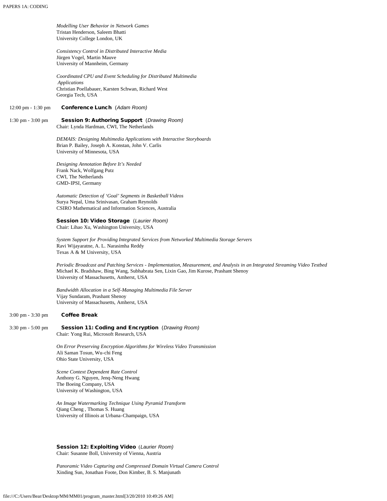*Modelling User Behavior in Network Games*  Tristan Henderson, Saleem Bhatti University College London, UK

*Consistency Control in Distributed Interactive Media*  Jürgen Vogel, Martin Mauve University of Mannheim, Germany

*Coordinated CPU and Event Scheduling for Distributed Multimedia Applications* Christian Poellabauer, Karsten Schwan, Richard West Georgia Tech, USA

#### 12:00 pm - 1:30 pm Conference Lunch (*Adam Room)*

#### 1:30 pm - 3:00 pm Session 9: Authoring Support (*Drawing Room)* Chair: Lynda Hardman, CWI, The Netherlands

*DEMAIS: Designing Multimedia Applications with Interactive Storyboards*  Brian P. Bailey, Joseph A. Konstan, John V. Carlis University of Minnesota, USA

*Designing Annotation Before It's Needed* Frank Nack, Wolfgang Putz CWI, The Netherlands GMD-IPSI, Germany

*Automatic Detection of 'Goal' Segments in Basketball Videos* Surya Nepal, Uma Srinivasan, Graham Reynolds CSIRO Mathematical and Information Sciences, Australia

#### Session 10: Video Storage (*Laurier Room)*

Chair: Lihao Xu, Washington University, USA

*System Support for Providing Integrated Services from Networked Multimedia Storage Servers* Ravi Wijayaratne, A. L. Narasimha Reddy Texas A & M University, USA

*Periodic Broadcast and Patching Services - Implementation, Measurement, and Analysis in an Integrated Streaming Video Testbed* Michael K. Bradshaw, Bing Wang, Subhabrata Sen, Lixin Gao, Jim Kurose, Prashant Shenoy University of Massachusetts, Amherst, USA

*Bandwidth Allocation in a Self-Managing Multimedia File Server* Vijay Sundaram, Prashant Shenoy University of Massachusetts, Amherst, USA

#### 3:00 pm - 3:30 pm Coffee Break

## 3:30 pm - 5:00 pm Session 11: Coding and Encryption (*Drawing Room)*

Chair: Yong Rui, Microsoft Research, USA

*On Error Preserving Encryption Algorithms for Wireless Video Transmission*  Ali Saman Tosun, Wu-chi Feng Ohio State University, USA

*Scene Context Dependent Rate Control* Anthony G. Nguyen, Jenq-Neng Hwang The Boeing Company, USA University of Washington, USA

*An Image Watermarking Technique Using Pyramid Transform* Qiang Cheng , Thomas S. Huang University of Illinois at Urbana-Champaign, USA

Session 12: Exploiting Video (*Laurier Room)* Chair: Susanne Boll, University of Vienna, Austria

*Panoramic Video Capturing and Compressed Domain Virtual Camera Control*  Xinding Sun, Jonathan Foote, Don Kimber, B. S. Manjunath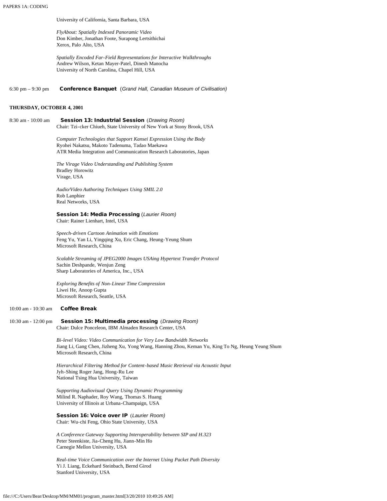University of California, Santa Barbara, USA

*FlyAbout: Spatially Indexed Panoramic Video* Don Kimber, Jonathan Foote, Surapong Lertsithichai Xerox, Palo Alto, USA

*Spatially Encoded Far-Field Representations for Interactive Walkthroughs*  Andrew Wilson, Ketan Mayer-Patel, Dinesh Manocha University of North Carolina, Chapel Hill, USA

6:30 pm – 9:30 pm Conference Banquet (*Grand Hall, Canadian Museum of Civilisation)*

#### **THURSDAY, OCTOBER 4, 2001**

8:30 am - 10:00 am Session 13: Industrial Session (*Drawing Room)* Chair: Tzi-cker Chiueh, State University of New York at Stony Brook, USA

> *Computer Technologies that Support Kansei Expression Using the Body* Ryohei Nakatsu, Makoto Tadenuma, Tadao Maekawa ATR Media Integration and Communication Research Laboratories, Japan

*The Virage Video Understanding and Publishing System* Bradley Horowitz Virage, USA

*Audio/Video Authoring Techniques Using SMIL 2.0* Rob Lanphier Real Networks, USA

#### Session 14: Media Processing (*Laurier Room)* Chair: Rainer Lienhart, Intel, USA

*Speech-driven Cartoon Animation with Emotions* Feng Yu, Yan Li, Yingqing Xu, Eric Chang, Heung-Yeung Shum Microsoft Research, China

*Scalable Streaming of JPEG2000 Images USAing Hypertext Transfer Protocol* Sachin Deshpande, Wenjun Zeng Sharp Laboratories of America, Inc., USA

*Exploring Benefits of Non-Linear Time Compression*  Liwei He, Anoop Gupta Microsoft Research, Seattle, USA

#### 10:00 am - 10:30 am Coffee Break

#### 10:30 am - 12:00 pm Session 15: Multimedia processing (*Drawing Room)* Chair: Dulce Ponceleon, IBM Almaden Research Center, USA

*Bi-level Video: Video Communication for Very Low Bandwidth Networks* Jiang Li, Gang Chen, Jizheng Xu, Yong Wang, Hanning Zhou, Keman Yu, King To Ng, Heung Yeung Shum Microsoft Research, China

*Hierarchical Filtering Method for Content-based Music Retrieval via Acoustic Input* Jyh-Shing Roger Jang, Hong-Ru Lee National Tsing Hua University, Taiwan

*Supporting Audiovisual Query Using Dynamic Programming* Milind R. Naphader, Roy Wang, Thomas S. Huang University of Illinois at Urbana-Champaign, USA

### Session 16: Voice over IP (*Laurier Room)*

Chair: Wu-chi Feng, Ohio State University, USA

*A Conference Gateway Supporting Interoperability between SIP and H.323* Peter Steenkiste, Jia-Cheng Hu, Jiann-Min Ho Carnegie Mellon University, USA

*Real-time Voice Communication over the Internet Using Packet Path Diversity* Yi J. Liang, Eckehard Steinbach, Bernd Girod Stanford University, USA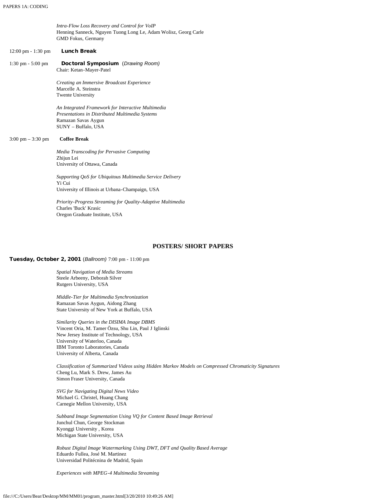<span id="page-7-1"></span>

|                                      | Intra-Flow Loss Recovery and Control for VoIP<br>Henning Sanneck, Nguyen Tuong Long Le, Adam Wolisz, Georg Carle<br>GMD Fokus, Germany              |
|--------------------------------------|-----------------------------------------------------------------------------------------------------------------------------------------------------|
| $12:00 \text{ pm} - 1:30 \text{ pm}$ | <b>Lunch Break</b>                                                                                                                                  |
| $1:30 \text{ pm} - 5:00 \text{ pm}$  | Doctoral Symposium (Drawing Room)<br>Chair: Ketan-Mayer-Patel                                                                                       |
|                                      | Creating an Immersive Broadcast Experience<br>Marcelle A. Steinstra<br><b>Twente University</b>                                                     |
|                                      | An Integrated Framework for Interactive Multimedia<br>Presentations in Distributed Multimedia Systems<br>Ramazan Savas Aygun<br>SUNY - Buffalo, USA |
| $3:00 \text{ pm} - 3:30 \text{ pm}$  | <b>Coffee Break</b>                                                                                                                                 |
|                                      | Media Transcoding for Pervasive Computing<br>Zhijun Lei<br>University of Ottawa, Canada                                                             |
|                                      | Supporting QoS for Ubiquitous Multimedia Service Delivery<br>Yi Cui<br>University of Illinois at Urbana-Champaign, USA                              |
|                                      | Priority-Progress Streaming for Quality-Adaptive Multimedia<br>Charles 'Buck' Krasic<br>Oregon Graduate Institute, USA                              |

#### **POSTERS/ SHORT PAPERS**

#### <span id="page-7-0"></span>Tuesday, October 2, 2001 (*Ballroom)* 7:00 pm - 11:00 pm

*Spatial Navigation of Media Streams* Steele Arbeeny, Deborah Silver Rutgers University, USA

*Middle-Tier for Multimedia Synchronization* Ramazan Savas Aygun, Aidong Zhang State University of New York at Buffalo, USA

*Similarity Queries in the DISIMA Image DBMS* Vincent Oria, M. Tamer Özsu, Shu Lin, Paul J Iglinski New Jersey Institute of Technology, USA University of Waterloo, Canada IBM Toronto Laboratories, Canada University of Alberta, Canada

*Classification of Summarized Videos using Hidden Markov Models on Compressed Chromaticity Signatures* Cheng Lu, Mark S. Drew, James Au Simon Fraser University, Canada

*SVG for Navigating Digital News Video* Michael G. Christel, Huang Chang Carnegie Mellon University, USA

*Subband Image Segmentation Using VQ for Content Based Image Retrieval* Junchul Chun, George Stockman Kyonggi University , Korea Michigan State University, USA

*Robust Digital Image Watermarking Using DWT, DFT and Quality Based Average* Eduardo Fullea, José M. Martinez Universidad Politécnina de Madrid, Spain

*Experiences with MPEG-4 Multimedia Streaming*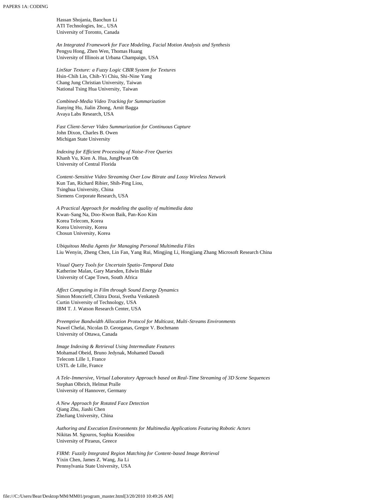Hassan Shojania, Baochun Li ATI Technologies, Inc., USA University of Toronto, Canada

*An Integrated Framework for Face Modeling, Facial Motion Analysis and Synthesis* Pengyu Hong, Zhen Wen, Thomas Huang University of Illinois at Urbana Champaign, USA

*LinStar Texture: a Fuzzy Logic CBIR System for Textures* Hsin-Chih Lin, Chih-Yi Chiu, Shi-Nine Yang Chang Jung Christian University, Taiwan National Tsing Hua University, Taiwan

*Combined-Media Video Tracking for Summarization* Jianying Hu, Jialin Zhong, Arnit Bagga Avaya Labs Research, USA

*Fast Client-Server Video Summarization for Continuous Capture* John Dixon, Charles B. Owen Michigan State University

*Indexing for Efficient Processing of Noise-Free Queries* Khanh Vu, Kien A. Hua, JungHwan Oh University of Central Florida

*Content-Sensitive Video Streaming Over Low Bitrate and Lossy Wireless Network* Kun Tan, Richard Ribier, Shih-Ping Liou, Tsinghua University, China Siemens Corporate Research, USA

*A Practical Approach for modeling the quality of multimedia data* Kwan-Sang Na, Doo-Kwon Baik, Pan-Koo Kim Korea Telecom, Korea Korea University, Korea Chosun University, Korea

*Ubiquitous Media Agents for Managing Personal Multimedia Files* Liu Wenyin, Zheng Chen, Lin Fan, Yang Rui, Mingjing Li, Hongjiang Zhang Microsoft Research China

*Visual Query Tools for Uncertain Spatio-Temporal Data* Katherine Malan, Gary Marsden, Edwin Blake University of Cape Town, South Africa

*Affect Computing in Film through Sound Energy Dynamics* Simon Moncrieff, Chitra Dorai, Svetha Venkatesh Curtin University of Technology, USA IBM T. J. Watson Research Center, USA

*Preemptive Bandwidth Allocation Protocol for Multicast, Multi-Streams Environments* Nawel Chefai, Nicolas D. Georganas, Gregor V. Bochmann University of Ottawa, Canada

*Image Indexing & Retrieval Using Intermediate Features* Mohamad Obeid, Bruno Jedynak, Mohamed Daoudi Telecom Lille 1, France USTL de Lille, France

*A Tele-Immersive, Virtual Laboratory Approach based on Real-Time Streaming of 3D Scene Sequences* Stephan Olbrich, Helmut Pralle University of Hannover, Germany

*A New Approach for Rotated Face Detection* Qiang Zhu, Jiashi Chen ZheJiang University, China

*Authoring and Execution Environments for Multimedia Applications Featuring Robotic Actors* Nikitas M. Sgouros, Sophia Kousidou University of Piraeus, Greece

*FIRM: Fuzzily Integrated Region Matching for Content-based Image Retrieval* Yixin Chen, James Z. Wang, Jia Li Pennsylvania State University, USA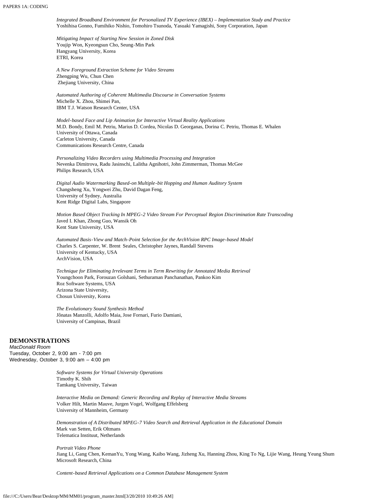*Integrated Broadband Environment for Personalized TV Experience (IBEX) – Implementation Study and Practice* Yoshihisa Gonno, Fumihiko Nishio, Tomohiro Tsunoda, Yasuaki Yamagishi, Sony Corporation, Japan

*Mitigating Impact of Starting New Session in Zoned Disk* Youjip Won, Kyeongsun Cho, Seung-Min Park Hangyang University, Korea ETRI, Korea

*A New Foreground Extraction Scheme for Video Streams* Zhengping Wu, Chun Chen Zhejiang University, China

*Automated Authoring of Coherent Multimedia Discourse in Conversation Systems* Michelle X. Zhou, Shimei Pan, IBM T.J. Watson Research Center, USA

*Model-based Face and Lip Animation for Interactive Virtual Reality Applications* M.D. Bondy, Emil M. Petriu, Marius D. Cordea, Nicolas D. Georganas, Dorina C. Petriu, Thomas E. Whalen University of Ottawa, Canada Carleton University, Canada Communications Research Centre, Canada

*Personalizing Video Recorders using Multimedia Processing and Integration* Nevenka Dimitrova, Radu Jasinschi, Lalitha Agnihotri, John Zimmerman, Thomas McGee Philips Research, USA

*Digital Audio Watermarking Based-on Multiple-bit Hopping and Human Auditory System* Changsheng Xu, Yongwei Zhu, David Dagan Feng, University of Sydney, Australia Kent Ridge Digital Labs, Singapore

*Motion Based Object Tracking In MPEG-2 Video Stream For Perceptual Region Discrimination Rate Transcoding* Javed I. Khan, Zhong Guo, Wansik Oh Kent State University, USA

*Automated Basis-View and Match-Point Selection for the ArchVision RPC Image-based Model* Charles S. Carpenter, W. Brent Seales, Christopher Jaynes, Randall Stevens University of Kentucky, USA ArchVision, USA

*Technique for Eliminating Irrelevant Terms in Term Rewriting for Annotated Media Retrieval* Youngchoon Park, Forouzan Golshani, Sethuraman Panchanathan, Pankoo Kim Roz Software Systems, USA Arizona State University, Chosun University, Korea

*The Evolutionary Sound Synthesis Method* Jônatas Manzolli, Adolfo Maia, Jose Fornari, Furio Damiani, University of Campinas, Brazil

#### <span id="page-9-0"></span>**DEMONSTRATIONS**

*MacDonald Room* Tuesday, October 2, 9:00 am - 7:00 pm Wednesday, October 3, 9:00 am – 4:00 pm

> *Software Systems for Virtual University Operations* Timothy K. Shih Tamkang University, Taiwan

*Interactive Media on Demand: Generic Recording and Replay of Interactive Media Streams* Volker Hilt, Martin Mauve, Jurgen Vogel, Wolfgang Effelsberg University of Mannheim, Germany

*Demonstration of A Distributed MPEG-7 Video Search and Retrieval Application in the Educational Domain* Mark van Setten, Erik Oltmans Telematica Instituut, Netherlands

*Portrait Video Phone* Jiang Li, Gang Chen, KemanYu, Yong Wang, Kaibo Wang, Jizheng Xu, Hanning Zhou, King To Ng, Lijie Wang, Heung Yeung Shum Microsoft Research, China

*Content-based Retrieval Applications on a Common Database Management System*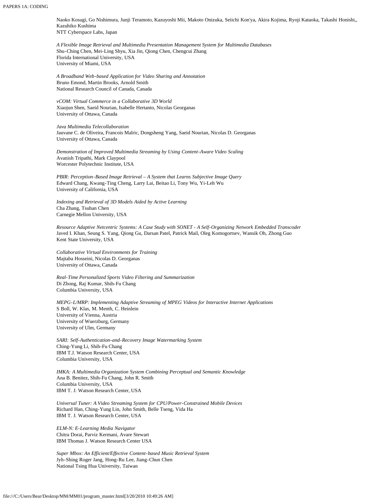Naoko Kosugi, Go Nishimura, Junji Teramoto, Kazuyoshi Mii, Makoto Onizuka, Seiichi Kon'ya, Akira Kojima, Ryoji Kataoka, Takashi Honishi,, Kazuhiko Kushima NTT Cyberspace Labs, Japan

*A Flexible Image Retrieval and Multimedia Presentation Management System for Multimedia Databases* Shu-Ching Chen, Mei-Ling Shyu, Xia Jin, Qiong Chen, Chengcui Zhang Florida International University, USA University of Miami, USA

*A Broadband Web-based Application for Video Sharing and Annotation* Bruno Emond, Martin Brooks, Arnold Smith National Research Council of Canada, Canada

*vCOM: Virtual Commerce in a Collaborative 3D World* Xiaojun Shen, Saeid Nourian, Isabelle Hertanto, Nicolas Georganas University of Ottawa, Canada

*Java Multimedia Telecollaboration* Jauvane C. de Oliveira, Francois Malric, Dongsheng Yang, Saeid Nourian, Nicolas D. Georganas University of Ottawa, Canada

*Demonstration of Improved Multimedia Streaming by Using Content-Aware Video Scaling* Avanish Tripathi, Mark Claypool Worcester Polytechnic Institute, USA

*PBIR: Perception-Based Image Retrieval – A System that Learns Subjective Image Query*  Edward Chang, Kwang-Ting Cheng, Larry Lai, Beitao Li, Tony Wu, Yi-Leh Wu University of California, USA

*Indexing and Retrieval of 3D Models Aided by Active Learning* Cha Zhang, Tsuhan Chen Carnegie Mellon University, USA

*Resource Adaptive Netcentric Systems: A Case Study with SONET - A Self-Organizing Network Embedded Transcoder* Javed I. Khan, Seung S. Yang, Qiong Gu, Darsan Patel, Patrick Mail, Oleg Komogortsev, Wansik Oh, Zhong Guo Kent State University, USA

*Collaborative Virtual Environments for Training* Majtaba Hosseini, Nicolas D. Georganas University of Ottawa, Canada

*Real-Time Personalized Sports Video Filtering and Summarization* Di Zhong, Raj Kumar, Shih-Fu Chang Columbia University, USA

*MEPG-L/MRP: Implementing Adaptive Streaming of MPEG Videos for Interactive Internet Applications* S Boll, W. Klas, M. Menth, C. Heinlein University of Vienna, Austria University of Wuerzburg, Germany University of Ulm, Germany

*SARI: Self-Authentication-and-Recovery Image Watermarking System* Ching-Yung Li, Shih-Fu Chang IBM T.J. Watson Research Center, USA Columbia University, USA

*IMKA: A Multimedia Organization System Combining Perceptual and Semantic Knowledge* Ana B. Benitez, Shih-Fu Chang, John R. Smith Columbia University, USA IBM T. J. Watson Research Center, USA

*Universal Tuner: A Video Streaming System for CPU/Power-Constrained Mobile Devices* Richard Han, Ching-Yung Lin, John Smith, Belle Tseng, Vida Ha IBM T. J. Watson Research Center, USA

*ELM-N: E-Learning Media Navigator* Chitra Dorai, Parviz Kermani, Avare Stewart IBM Thomas J. Watson Research Center USA

*Super Mbox: An Efficient/Effective Content-based Music Retrieval System* Jyh-Shing Roger Jang, Hong-Ru Lee, Jiang-Chun Chen National Tsing Hua University, Taiwan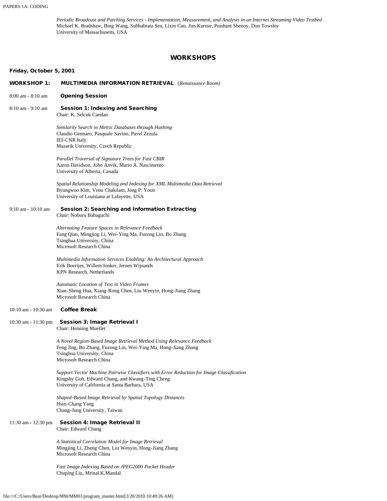*Periodic Broadcast and Patching Services - Implementation, Measurement, and Analysis in an Internet Streaming Video Testbed* Michael K. Bradshaw, Bing Wang, Subhabrata Sen, Lixin Cao, Jim Kurose, Prashant Shenoy, Don Towsley University of Massachusetts, USA

### **WORKSHOPS**

### <span id="page-11-0"></span>Friday, October 5, 2001

| <b>WORKSHOP 1:</b>      | <b>MULTIMEDIA INFORMATION RETRIEVAL</b> (Renaissance Room)                                                                                                                                       |
|-------------------------|--------------------------------------------------------------------------------------------------------------------------------------------------------------------------------------------------|
| 8:00 am - 8:10 am       | <b>Opening Session</b>                                                                                                                                                                           |
| $8:10$ am - $9:10$ am   | <b>Session 1: Indexing and Searching</b><br>Chair: K. Selcuk Candan                                                                                                                              |
|                         | Similarity Search in Metric Databases through Hashing<br>Claudio Gennaro, Pasquale Savino, Pavel Zezula<br><b>IEI-CNR</b> Italy<br>Mazarik University, Czech Republic                            |
|                         | Parallel Traversal of Signature Trees for Fast CBIR<br>Aaron Davidson, John Anvik, Mario A. Nascimento<br>University of Alberta, Canada                                                          |
|                         | Spatial Relationship Modeling and Indexing for XML Multimedia Data Retrieval<br>Byungwoo Kim, Venu Chakilam, Jong P. Yoon<br>University of Louisiana at Lafayette, USA                           |
| 9:10 am - 10:10 am      | <b>Session 2: Searching and Information Extracting</b><br>Chair: Noburu Babaguchi                                                                                                                |
|                         | Alternating Feature Spaces in Relevance Feedback<br>Fang Qian, Mingjing Li, Wei-Ying Ma, Fuzong Lin, Bo Zhang<br>Tsinghua University, China<br>Microsoft Research China                          |
|                         | Multimedia Information Services Enabling: An Architectural Approach<br>Erik Boertjes, Willem Jonker, Jeroen Wijnands<br>KPN Research, Netherlands                                                |
|                         | Automatic Location of Text in Video Frames<br>Xian-Sheng Hua, Xiang-Rong Chen, Liu Wenyin, Hong-Jiang Zhang<br>Microsoft Research China                                                          |
| 10:10 am - 10:30 am     | <b>Coffee Break</b>                                                                                                                                                                              |
| $10:30$ am $-11:30$ pm  | Session 3: Image Retrieval I<br>Chair: Henning Mueller                                                                                                                                           |
|                         | A Novel Region-Based Image Retrieval Method Using Relevance Feedback<br>Feng Jing, Bo Zhang, Fuzong Lin, Wei-Ying Ma, Hong-Jiang Zhang<br>Tsinghua University, China<br>Microsoft Research China |
|                         | Support Vector Machine Pairwise Classifiers with Error Reduction for Image Classification<br>Kingshy Goh, Edward Chang, and Kwang-Ting Cheng<br>University of California at Santa Barbara, USA   |
|                         | Shaped-Based Image Retrieval by Spatial Topology Distances<br>Hsin-Chang Yang<br>Chang-Jung University, Taiwan                                                                                   |
| $11:30$ am - $12:30$ pm | <b>Session 4: Image Retrieval II</b><br>Chair: Edward Chang                                                                                                                                      |
|                         | A Statistical Correlation Model for Image Retrieval<br>Mingjing Li, Zheng Chen, Liu Wenyin, Hong-Jiang Zhang<br>Microsoft Research China                                                         |
|                         | Fast Image Indexing Based on JPEG2000 Packet Header<br>Chuping Liu, Mrinal.K.Mandal                                                                                                              |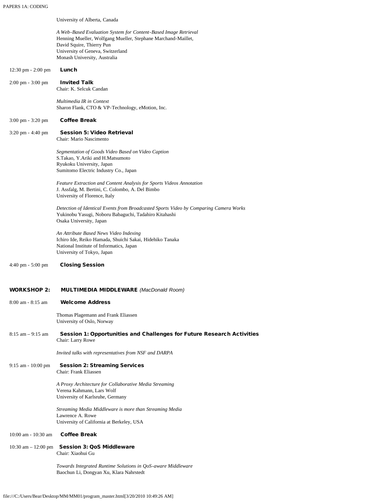|                                      | University of Alberta, Canada                                                                                                                                                                                                      |
|--------------------------------------|------------------------------------------------------------------------------------------------------------------------------------------------------------------------------------------------------------------------------------|
|                                      | A Web-Based Evaluation System for Content-Based Image Retrieval<br>Henning Mueller, Wolfgang Mueller, Stephane Marchand-Maillet,<br>David Squire, Thierry Pun<br>University of Geneva, Switzerland<br>Monash University, Australia |
| $12:30 \text{ pm} - 2:00 \text{ pm}$ | Lunch                                                                                                                                                                                                                              |
| 2:00 pm - 3:00 pm                    | <b>Invited Talk</b><br>Chair: K. Selcuk Candan                                                                                                                                                                                     |
|                                      | Multimedia IR in Context<br>Sharon Flank, CTO & VP-Technology, eMotion, Inc.                                                                                                                                                       |
| $3:00 \text{ pm} - 3:20 \text{ pm}$  | <b>Coffee Break</b>                                                                                                                                                                                                                |
| $3:20 \text{ pm} - 4:40 \text{ pm}$  | <b>Session 5: Video Retrieval</b><br>Chair: Mario Nascimento                                                                                                                                                                       |
|                                      | Segmentation of Goods Video Based on Video Caption<br>S.Takao, Y.Ariki and H.Matsumoto<br>Ryukoku University, Japan<br>Sumitomo Electric Industry Co., Japan                                                                       |
|                                      |                                                                                                                                                                                                                                    |
|                                      | Feature Extraction and Content Analysis for Sports Videos Annotation<br>J. Assfalg, M. Bertini, C. Colombo, A. Del Bimbo<br>University of Florence, Italy                                                                          |
|                                      | Detection of Identical Events from Broadcasted Sports Video by Comparing Camera Works<br>Yukinobu Yasugi, Noboru Babaguchi, Tadahiro Kitahashi<br>Osaka University, Japan                                                          |
|                                      | An Attribute Based News Video Indexing<br>Ichiro Ide, Reiko Hamada, Shuichi Sakai, Hidehiko Tanaka<br>National Institute of Informatics, Japan<br>University of Tokyo, Japan                                                       |
| $4:40 \text{ pm} - 5:00 \text{ pm}$  | <b>Closing Session</b>                                                                                                                                                                                                             |
| <b>WORKSHOP 2:</b>                   | <b>MULTIMEDIA MIDDLEWARE</b> (MacDonald Room)                                                                                                                                                                                      |
| 8:00 am - 8:15 am                    | <b>Welcome Address</b>                                                                                                                                                                                                             |
|                                      | Thomas Plagemann and Frank Eliassen<br>University of Oslo, Norway                                                                                                                                                                  |
| $8:15$ am $-9:15$ am                 | Session 1: Opportunities and Challenges for Future Research Activities<br>Chair: Larry Rowe                                                                                                                                        |
|                                      | Invited talks with representatives from NSF and DARPA                                                                                                                                                                              |
| $9:15$ am - 10:00 pm                 | <b>Session 2: Streaming Services</b><br>Chair: Frank Eliassen                                                                                                                                                                      |
|                                      | A Proxy Architecture for Collaborative Media Streaming<br>Verena Kahmann, Lars Wolf<br>University of Karlsruhe, Germany                                                                                                            |
|                                      | Streaming Media Middleware is more than Streaming Media<br>Lawrence A. Rowe<br>University of California at Berkeley, USA                                                                                                           |
| 10:00 am - 10:30 am                  | <b>Coffee Break</b>                                                                                                                                                                                                                |
| 10:30 am $- 12:00$ pm                | <b>Session 3: QoS Middleware</b><br>Chair: Xiaohui Gu                                                                                                                                                                              |
|                                      | Towards Integrated Runtime Solutions in QoS-aware Middleware<br>Baochun Li, Dongyan Xu, Klara Nahrstedt                                                                                                                            |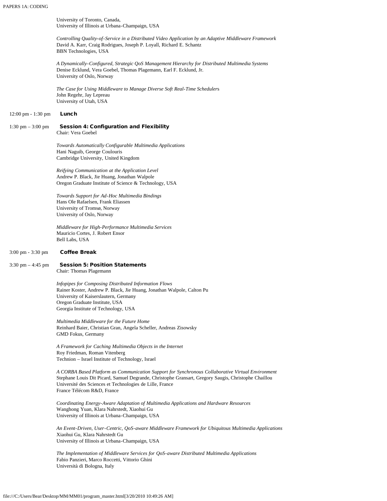University of Toronto, Canada, University of Illinois at Urbana-Champaign, USA

*Controlling Quality-of-Service in a Distributed Video Application by an Adaptive Middleware Framework* David A. Karr, Craig Rodrigues, Joseph P. Loyall, Richard E. Schantz BBN Technologies, USA

*A Dynamically-Configured, Strategic QoS Management Hierarchy for Distributed Multimedia Systems* Denise Ecklund, Vera Goebel, Thomas Plagemann, Earl F. Ecklund, Jr. University of Oslo, Norway

*The Case for Using Middleware to Manage Diverse Soft Real-Time Scheduler*s John Regehr, Jay Lepreau University of Utah, USA

12:00 pm - 1:30 pm Lunch

#### 1:30 pm – 3:00 pm Session 4: Configuration and Flexibility Chair: Vera Goebel

*Towards Automatically Configurable Multimedia Applications* Hani Naguib, George Coulouris

Cambridge University, United Kingdom

*Reifying Communication at the Application Level* Andrew P. Black, Jie Huang, Jonathan Walpole Oregon Graduate Institute of Science & Technology, USA

*Towards Support for Ad-Hoc Multimedia Bindings* Hans Ole Rafaelsen, Frank Eliassen University of Tromsø, Norway University of Oslo, Norway

*Middleware for High-Performance Multimedia Services* Mauricio Cortes, J. Robert Ensor Bell Labs, USA

#### 3:00 pm - 3:30 pm Coffee Break

#### 3:30 pm - 4:45 pm Session 5: Position Statements Chair: Thomas Plagemann

*Infopipes for Composing Distributed Information Flows* Rainer Koster, Andrew P. Black, Jie Huang, Jonathan Walpole, Calton Pu University of Kaiserslautern, Germany Oregon Graduate Institute, USA Georgia Institute of Technology, USA

*Multimedia Middleware for the Future Home* Reinhard Baier, Christian Gran, Angela Scheller, Andreas Zisowsky GMD Fokus, Germany

*A Framework for Caching Multimedia Objects in the Internet* Roy Friedman, Roman Vitenberg Technion – Israel Institute of Technology, Israel

*A CORBA Based Platform as Communication Support for Synchronous Collaborative Virtual Environment* Stephane Louis Dit Picard, Samuel Degrande, Christophe Gransart, Gregory Saugis, Christophe Chaillou Université des Sciences et Technologies de Lille, France France Télécom R&D, France

*Coordinating Energy-Aware Adaptation of Multimedia Applications and Hardware Resources* Wanghong Yuan, Klara Nahrstedt, Xiaohui Gu University of Illinois at Urbana-Champaign, USA

*An Event-Driven, User-Centric, QoS-aware Middleware Framework for Ubiquitous Multimedia Applications* Xiaohui Gu, Klara Nahrstedt Gu University of Illinois at Urbana-Champaign, USA

*The Implementation of Middleware Services for QoS-aware Distributed Multimedia Applications* Fabio Panzieri, Marco Roccetti, Vittorio Ghini Università di Bologna, Italy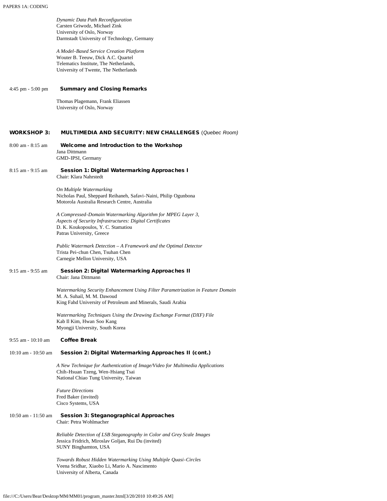|                        | Dynamic Data Path Reconfiguration<br>Carsten Griwodz, Michael Zink<br>University of Oslo, Norway<br>Darmstadt University of Technology, Germany                                              |
|------------------------|----------------------------------------------------------------------------------------------------------------------------------------------------------------------------------------------|
|                        | A Model-Based Service Creation Platform<br>Wouter B. Teeuw, Dick A.C. Quartel<br>Telematics Institute, The Netherlands,<br>University of Twente, The Netherlands                             |
|                        |                                                                                                                                                                                              |
| $4:45$ pm $-5:00$ pm   | <b>Summary and Closing Remarks</b><br>Thomas Plagemann, Frank Eliassen                                                                                                                       |
|                        | University of Oslo, Norway                                                                                                                                                                   |
| <b>WORKSHOP 3:</b>     | <b>MULTIMEDIA AND SECURITY: NEW CHALLENGES (Quebec Room)</b>                                                                                                                                 |
| $8:00$ am $-8:15$ am   | Welcome and Introduction to the Workshop<br>Jana Dittmann<br>GMD-IPSI, Germany                                                                                                               |
| $8:15$ am - 9:15 am    | Session 1: Digital Watermarking Approaches I<br>Chair: Klara Nahrstedt                                                                                                                       |
|                        | On Multiple Watermarking<br>Nicholas Paul, Sheppard Reihaneh, Safavi-Naini, Philip Ogunbona<br>Motorola Australia Research Centre, Australia                                                 |
|                        | A Compressed-Domain Watermarking Algorithm for MPEG Layer 3,<br>Aspects of Security Infrastructures: Digital Certificates<br>D. K. Koukopoulos, Y. C. Stamatiou<br>Patras University, Greece |
|                        | Public Watermark Detection – A Framework and the Optimal Detector<br>Trista Pei-chun Chen, Tsuhan Chen<br>Carnegie Mellon University, USA                                                    |
| 9:15 am - 9:55 am      | Session 2: Digital Watermarking Approaches II<br>Chair: Jana Dittmann                                                                                                                        |
|                        | Watermarking Security Enhancement Using Filter Parametrization in Feature Domain<br>M. A. Suhail, M. M. Dawoud<br>King Fahd University of Petroleum and Minerals, Saudi Arabia               |
|                        | Watermarking Techniques Using the Drawing Exchange Format (DXF) File<br>Kab Il Kim, Hwan Soo Kang<br>Myongji University, South Korea                                                         |
| $9:55$ am - $10:10$ am | <b>Coffee Break</b>                                                                                                                                                                          |
| 10:10 am - 10:50 am    | Session 2: Digital Watermarking Approaches II (cont.)                                                                                                                                        |
|                        | A New Technique for Authentication of Image/Video for Multimedia Applications<br>Chih-Hsuan Tzeng, Wen-Hsiang Tsai<br>National Chiao Tung University, Taiwan                                 |
|                        | <b>Future Directions</b><br>Fred Baker (invited)<br>Cisco Systems, USA                                                                                                                       |
| 10:50 am - 11:50 am    | <b>Session 3: Steganographical Approaches</b><br>Chair: Petra Wohlmacher                                                                                                                     |
|                        | Reliable Detection of LSB Steganography in Color and Grey Scale Images<br>Jessica Fridrich, Miroslav Goljan, Rui Du (invited)<br>SUNY Binghamton, USA                                        |
|                        | Towards Robust Hidden Watermarking Using Multiple Quasi-Circles<br>Veena Sridhar, Xiaobo Li, Mario A. Nascimento<br>University of Alberta, Canada                                            |
|                        |                                                                                                                                                                                              |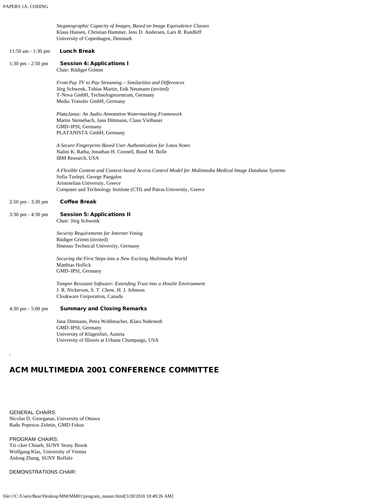|                                     | Steganographic Capacity of Images, Based on Image Equivalence Classes<br>Klaus Hansen, Christian Hammer, Jens D. Andersen, Lars R. Randleff<br>University of Copenhagen, Denmark                                                                      |
|-------------------------------------|-------------------------------------------------------------------------------------------------------------------------------------------------------------------------------------------------------------------------------------------------------|
| 11:50 am - 1:30 pm                  | <b>Lunch Break</b>                                                                                                                                                                                                                                    |
| $1:30 \text{ pm} - 2:50 \text{ pm}$ | <b>Session 4: Applications I</b><br>Chair: Rüdiger Grimm                                                                                                                                                                                              |
|                                     | From Pay TV to Pay Streaming - Similarities and Differences<br>Jörg Schwenk, Tobias Martin, Erik Neumann (invited)<br>T-Nova GmbH, Technologiezentrum, Germany<br>Media Transfer GmbH, Germany                                                        |
|                                     | PlataJanus: An Audio Annotation Watermarking Framework<br>Martin Steinebach, Jana Dittmann, Claus Vielhauer<br>GMD-IPSI, Germany<br>PLATANISTA GmbH, Germany                                                                                          |
|                                     | A Secure Fingerprint-Based User Authentication for Lotus Notes<br>Nalini K. Ratha, Jonathan H. Connell, Ruud M. Bolle<br>IBM Research, USA                                                                                                            |
|                                     | A Flexible Content and Context-based Access Control Model for Multimedia Medical Image Database Systems<br>Sofia Tzelepi, George Pangalos<br>Aristotelian University, Greece<br>Computer and Technology Institute (CTI) and Patras Universtiy, Greece |
| 2:50 pm - 3:30 pm                   | <b>Coffee Break</b>                                                                                                                                                                                                                                   |
| 3:30 pm - 4:30 pm                   | <b>Session 5: Applications II</b><br>Chair: Jörg Schwenk                                                                                                                                                                                              |
|                                     | Security Requirements for Internet Voting<br>Rüdiger Grimm (invited)<br>Ilmenau Technical University, Germany                                                                                                                                         |
|                                     | Securing the First Steps into a New Exciting Multimedia World<br>Matthias Hollick<br>GMD-IPSI, Germany                                                                                                                                                |
|                                     | Tamper Resistant Software: Extending Trust into a Hostile Environment<br>J. R. Nickerson, S. T. Chow, H. J. Johnson<br>Cloakware Corporation, Canada                                                                                                  |
| 4:30 pm - 5:00 pm                   | <b>Summary and Closing Remarks</b>                                                                                                                                                                                                                    |
|                                     | Jana Dittmann, Petra Wohlmacher, Klara Nahrstedt<br>GMD-IPSI, Germany<br>University of Klagenfurt, Austria<br>University of Illinois at Urbana Champaign, USA                                                                                         |
|                                     |                                                                                                                                                                                                                                                       |

## ACM MULTIMEDIA 2001 CONFERENCE COMMITTEE

GENERAL CHAIRS: Nicolas D. Georganas, University of Ottawa Radu Popescu-Zeletin, GMD Fokus

PROGRAM CHAIRS: Tzi-cker Chiueh, SUNY Stony Brook Wolfgang Klas, University of Vienna Aidong Zhang, SUNY Buffalo

DEMONSTRATIONS CHAIR: